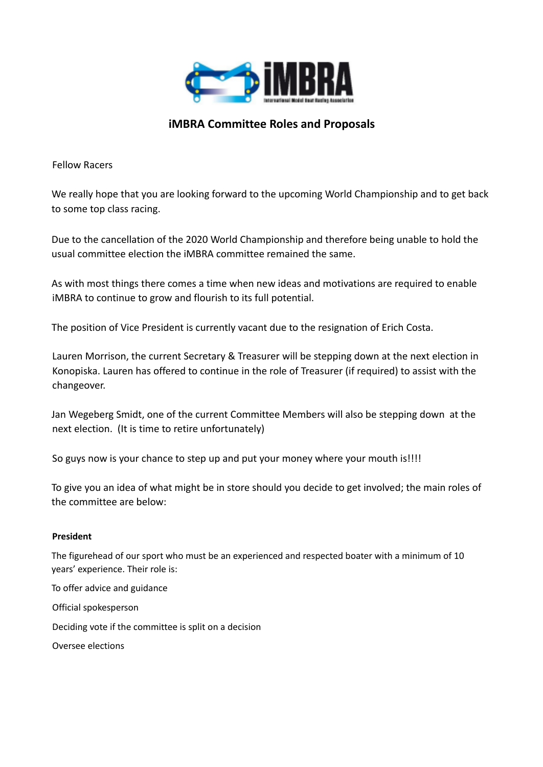

# **iMBRA Committee Roles and Proposals**

Fellow Racers

We really hope that you are looking forward to the upcoming World Championship and to get back to some top class racing.

Due to the cancellation of the 2020 World Championship and therefore being unable to hold the usual committee election the iMBRA committee remained the same.

As with most things there comes a time when new ideas and motivations are required to enable iMBRA to continue to grow and flourish to its full potential.

The position of Vice President is currently vacant due to the resignation of Erich Costa.

Lauren Morrison, the current Secretary & Treasurer will be stepping down at the next election in Konopiska. Lauren has offered to continue in the role of Treasurer (if required) to assist with the changeover.

Jan Wegeberg Smidt, one of the current Committee Members will also be stepping down at the next election. (It is time to retire unfortunately)

So guys now is your chance to step up and put your money where your mouth is!!!!

To give you an idea of what might be in store should you decide to get involved; the main roles of the committee are below:

# **President**

The figurehead of our sport who must be an experienced and respected boater with a minimum of 10 years' experience. Their role is:

To offer advice and guidance Official spokesperson Deciding vote if the committee is split on a decision Oversee elections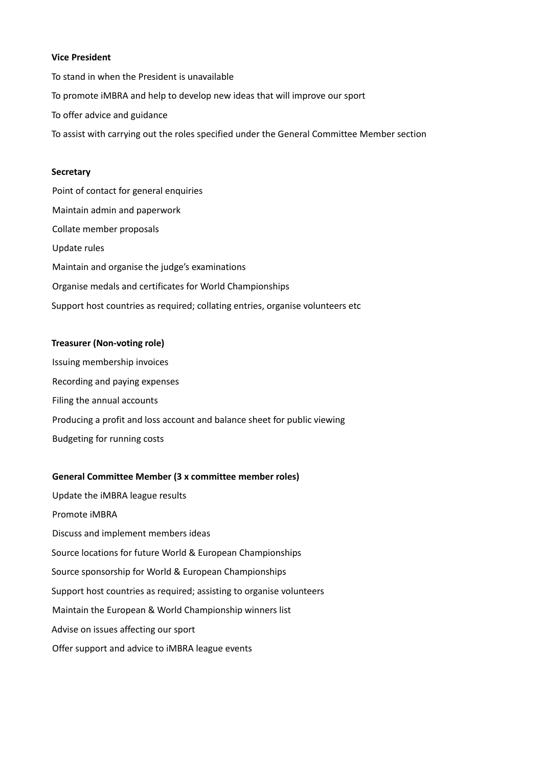### **Vice President**

To stand in when the President is unavailable To promote iMBRA and help to develop new ideas that will improve our sport To offer advice and guidance To assist with carrying out the roles specified under the General Committee Member section

#### **Secretary**

Point of contact for general enquiries Maintain admin and paperwork Collate member proposals Update rules Maintain and organise the judge's examinations Organise medals and certificates for World Championships Support host countries as required; collating entries, organise volunteers etc

## **Treasurer (Non-voting role)**

Issuing membership invoices Recording and paying expenses Filing the annual accounts Producing a profit and loss account and balance sheet for public viewing Budgeting for running costs

#### **General Committee Member (3 x committee member roles)**

Update the iMBRA league results Promote iMBRA Discuss and implement members ideas Source locations for future World & European Championships Source sponsorship for World & European Championships Support host countries as required; assisting to organise volunteers Maintain the European & World Championship winners list Advise on issues affecting our sport Offer support and advice to iMBRA league events